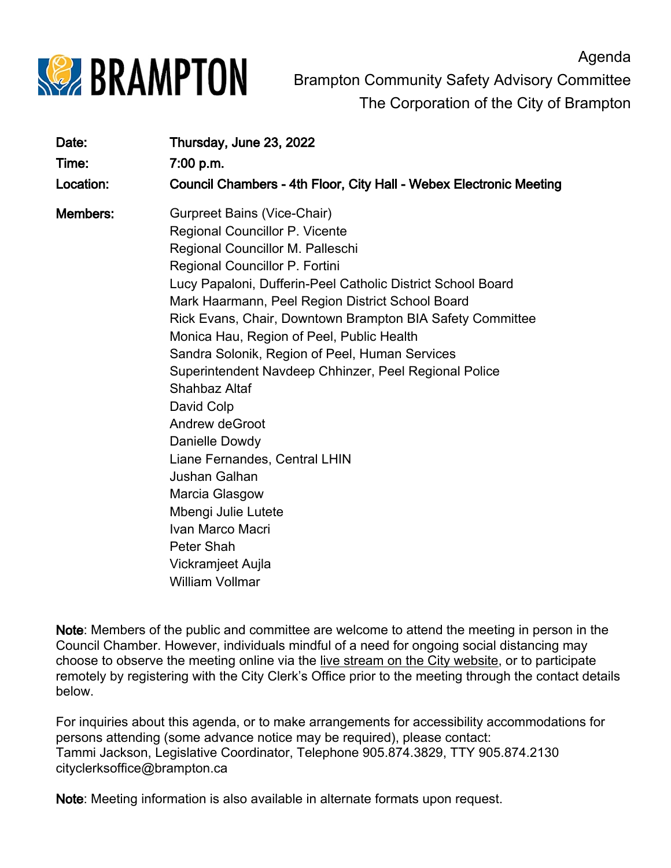

Agenda Brampton Community Safety Advisory Committee The Corporation of the City of Brampton

| Date:     | Thursday, June 23, 2022                                                                                                                                                                                                                                                                                                                                                                                                                                                                                                                                                                                                                                                                                                    |
|-----------|----------------------------------------------------------------------------------------------------------------------------------------------------------------------------------------------------------------------------------------------------------------------------------------------------------------------------------------------------------------------------------------------------------------------------------------------------------------------------------------------------------------------------------------------------------------------------------------------------------------------------------------------------------------------------------------------------------------------------|
| Time:     | 7:00 p.m.                                                                                                                                                                                                                                                                                                                                                                                                                                                                                                                                                                                                                                                                                                                  |
| Location: | Council Chambers - 4th Floor, City Hall - Webex Electronic Meeting                                                                                                                                                                                                                                                                                                                                                                                                                                                                                                                                                                                                                                                         |
| Members:  | Gurpreet Bains (Vice-Chair)<br>Regional Councillor P. Vicente<br>Regional Councillor M. Palleschi<br>Regional Councillor P. Fortini<br>Lucy Papaloni, Dufferin-Peel Catholic District School Board<br>Mark Haarmann, Peel Region District School Board<br>Rick Evans, Chair, Downtown Brampton BIA Safety Committee<br>Monica Hau, Region of Peel, Public Health<br>Sandra Solonik, Region of Peel, Human Services<br>Superintendent Navdeep Chhinzer, Peel Regional Police<br>Shahbaz Altaf<br>David Colp<br>Andrew deGroot<br>Danielle Dowdy<br>Liane Fernandes, Central LHIN<br>Jushan Galhan<br>Marcia Glasgow<br>Mbengi Julie Lutete<br>Ivan Marco Macri<br>Peter Shah<br>Vickramjeet Aujla<br><b>William Vollmar</b> |

Note: Members of the public and committee are welcome to attend the meeting in person in the Council Chamber. However, individuals mindful of a need for ongoing social distancing may choose to observe the meeting online via the [live stream on the City website,](https://www.brampton.ca/EN/City-Hall/meetings-agendas/Pages/City-Council-and-Committee-Live-Stream.aspx) or to participate remotely by registering with the City Clerk's Office prior to the meeting through the contact details below.

For inquiries about this agenda, or to make arrangements for accessibility accommodations for persons attending (some advance notice may be required), please contact: Tammi Jackson, Legislative Coordinator, Telephone 905.874.3829, TTY 905.874.2130 cityclerksoffice@brampton.ca

Note: Meeting information is also available in alternate formats upon request.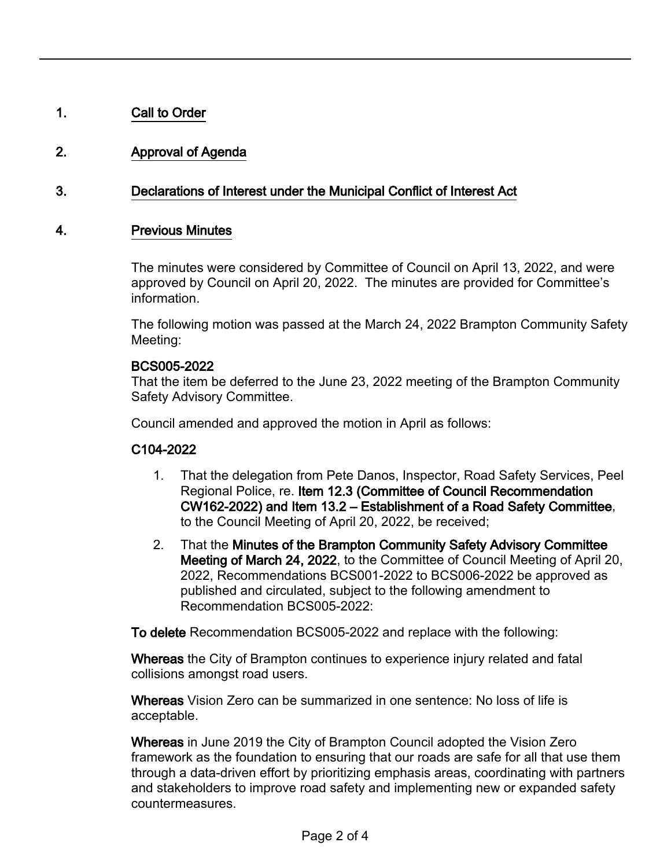# 1. Call to Order

# 2. Approval of Agenda

## 3. Declarations of Interest under the Municipal Conflict of Interest Act

### 4. Previous Minutes

The minutes were considered by Committee of Council on April 13, 2022, and were approved by Council on April 20, 2022. The minutes are provided for Committee's information.

The following motion was passed at the March 24, 2022 Brampton Community Safety Meeting:

#### BCS005-2022

That the item be deferred to the June 23, 2022 meeting of the Brampton Community Safety Advisory Committee.

Council amended and approved the motion in April as follows:

#### C104-2022

- That the delegation from Pete Danos, Inspector, Road Safety Services, Peel Regional Police, re. Item 12.3 (Committee of Council Recommendation CW162-2022) and Item 13.2 – Establishment of a Road Safety Committee, to the Council Meeting of April 20, 2022, be received; 1.
- That the Minutes of the Brampton Community Safety Advisory Committee Meeting of March 24, 2022, to the Committee of Council Meeting of April 20, 2022, Recommendations BCS001-2022 to BCS006-2022 be approved as published and circulated, subject to the following amendment to Recommendation BCS005-2022: 2.

To delete Recommendation BCS005-2022 and replace with the following:

Whereas the City of Brampton continues to experience injury related and fatal collisions amongst road users.

Whereas Vision Zero can be summarized in one sentence: No loss of life is acceptable.

Whereas in June 2019 the City of Brampton Council adopted the Vision Zero framework as the foundation to ensuring that our roads are safe for all that use them through a data-driven effort by prioritizing emphasis areas, coordinating with partners and stakeholders to improve road safety and implementing new or expanded safety countermeasures.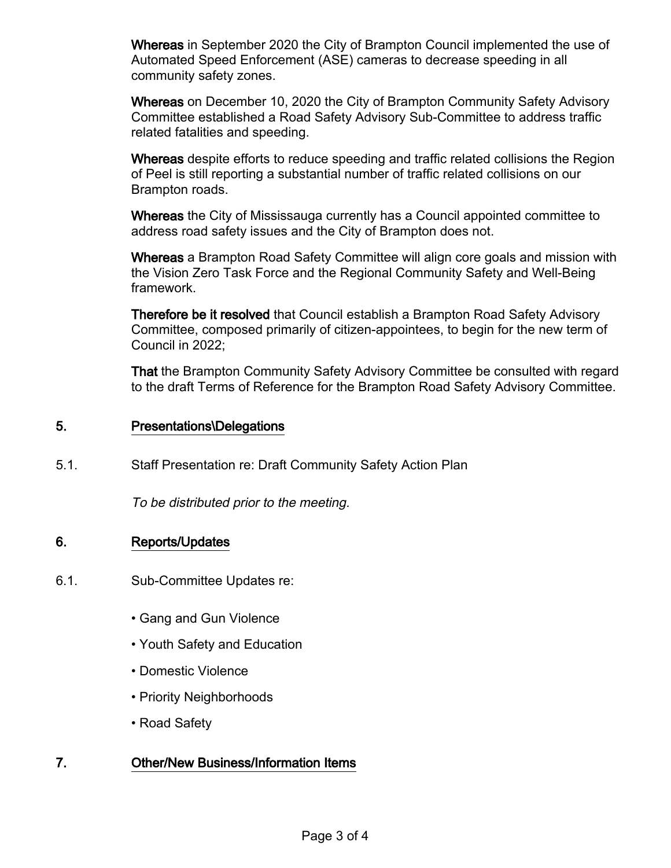Whereas in September 2020 the City of Brampton Council implemented the use of Automated Speed Enforcement (ASE) cameras to decrease speeding in all community safety zones.

Whereas on December 10, 2020 the City of Brampton Community Safety Advisory Committee established a Road Safety Advisory Sub-Committee to address traffic related fatalities and speeding.

Whereas despite efforts to reduce speeding and traffic related collisions the Region of Peel is still reporting a substantial number of traffic related collisions on our Brampton roads.

Whereas the City of Mississauga currently has a Council appointed committee to address road safety issues and the City of Brampton does not.

Whereas a Brampton Road Safety Committee will align core goals and mission with the Vision Zero Task Force and the Regional Community Safety and Well-Being framework.

Therefore be it resolved that Council establish a Brampton Road Safety Advisory Committee, composed primarily of citizen-appointees, to begin for the new term of Council in 2022;

That the Brampton Community Safety Advisory Committee be consulted with regard to the draft Terms of Reference for the Brampton Road Safety Advisory Committee.

#### 5. Presentations\Delegations

5.1. Staff Presentation re: Draft Community Safety Action Plan

To be distributed prior to the meeting.

## 6. Reports/Updates

- 6.1. Sub-Committee Updates re:
	- Gang and Gun Violence
	- Youth Safety and Education
	- Domestic Violence
	- Priority Neighborhoods
	- Road Safety

## 7. Other/New Business/Information Items